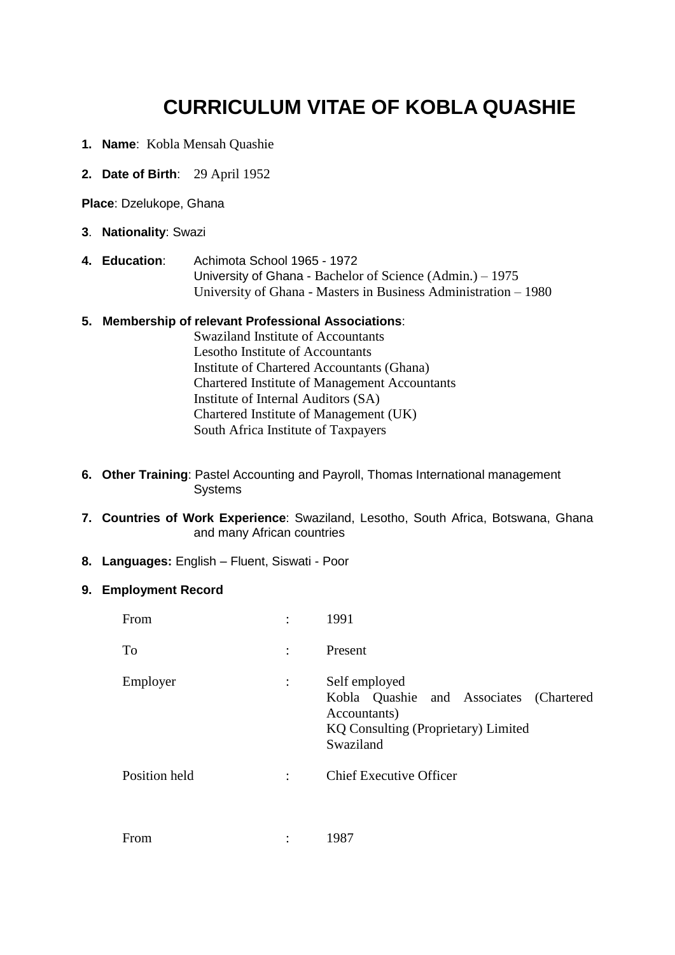## **CURRICULUM VITAE OF KOBLA QUASHIE**

- **1. Name**: Kobla Mensah Quashie
- **2. Date of Birth**: 29 April 1952

**Place**: Dzelukope, Ghana

- **3**. **Nationality**: Swazi
- **4. Education**: Achimota School 1965 1972 University of Ghana - Bachelor of Science (Admin.) – 1975 University of Ghana - Masters in Business Administration – 1980

## **5. Membership of relevant Professional Associations**:

Swaziland Institute of Accountants Lesotho Institute of Accountants Institute of Chartered Accountants (Ghana) Chartered Institute of Management Accountants Institute of Internal Auditors (SA) Chartered Institute of Management (UK) South Africa Institute of Taxpayers

- **6. Other Training**: Pastel Accounting and Payroll, Thomas International management Systems
- **7. Countries of Work Experience**: Swaziland, Lesotho, South Africa, Botswana, Ghana and many African countries
- **8. Languages:** English Fluent, Siswati Poor

## **9. Employment Record**

|                      | 1991                                                                                                                         |
|----------------------|------------------------------------------------------------------------------------------------------------------------------|
| $\ddot{\cdot}$       | Present                                                                                                                      |
| $\ddot{\cdot}$       | Self employed<br>Kobla Quashie and Associates (Chartered<br>Accountants)<br>KQ Consulting (Proprietary) Limited<br>Swaziland |
| $\ddot{\phantom{a}}$ | <b>Chief Executive Officer</b>                                                                                               |
|                      |                                                                                                                              |

| From | 1987 |
|------|------|
|      |      |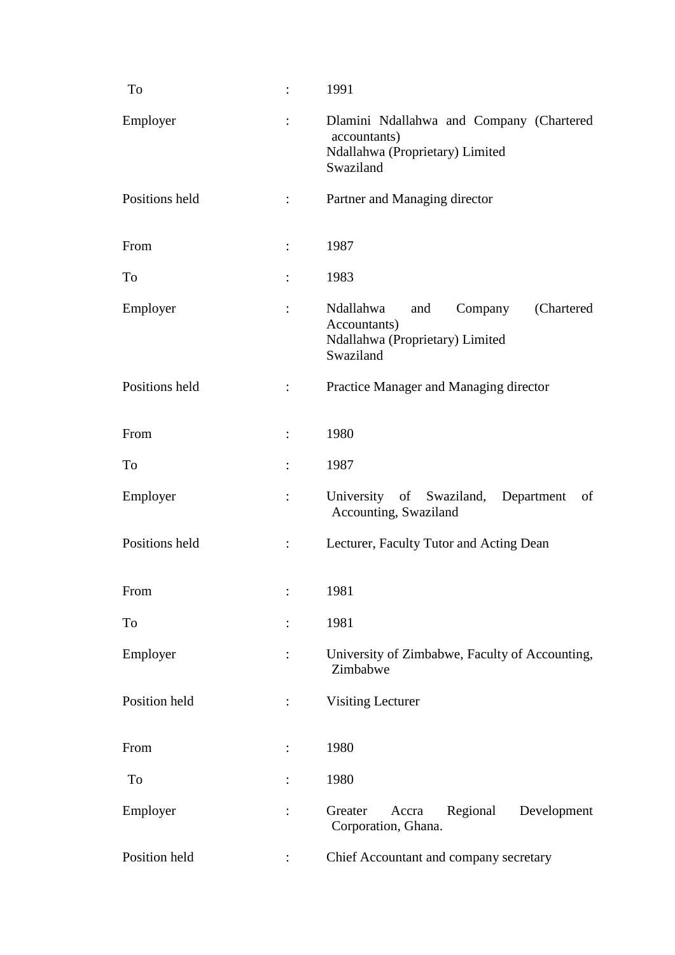| To             | $\vdots$       | 1991                                                                                                       |
|----------------|----------------|------------------------------------------------------------------------------------------------------------|
| Employer       | $\ddot{\cdot}$ | Dlamini Ndallahwa and Company (Chartered<br>accountants)<br>Ndallahwa (Proprietary) Limited<br>Swaziland   |
| Positions held |                | Partner and Managing director                                                                              |
| From           |                | 1987                                                                                                       |
| To             |                | 1983                                                                                                       |
| Employer       | $\ddot{\cdot}$ | Ndallahwa<br>Company<br>(Chartered)<br>and<br>Accountants)<br>Ndallahwa (Proprietary) Limited<br>Swaziland |
| Positions held | ÷              | Practice Manager and Managing director                                                                     |
| From           |                | 1980                                                                                                       |
| To             | $\ddot{\cdot}$ | 1987                                                                                                       |
| Employer       | $\ddot{\cdot}$ | University of Swaziland, Department<br>of<br>Accounting, Swaziland                                         |
| Positions held |                | Lecturer, Faculty Tutor and Acting Dean                                                                    |
| From           | $\ddot{\cdot}$ | 1981                                                                                                       |
| To             |                | 1981                                                                                                       |
| Employer       | $\ddot{\cdot}$ | University of Zimbabwe, Faculty of Accounting,<br>Zimbabwe                                                 |
| Position held  |                | <b>Visiting Lecturer</b>                                                                                   |
| From           |                | 1980                                                                                                       |
| To             |                | 1980                                                                                                       |
| Employer       | $\ddot{\cdot}$ | Regional<br>Development<br>Greater<br>Accra<br>Corporation, Ghana.                                         |
| Position held  |                | Chief Accountant and company secretary                                                                     |